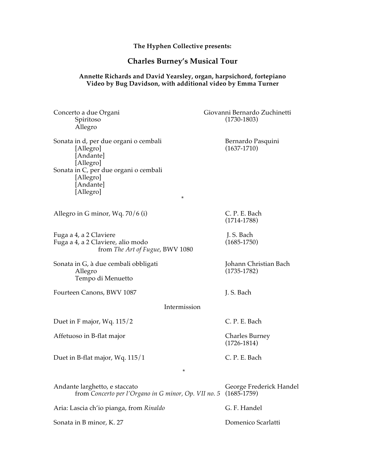**The Hyphen Collective presents:**

# **Charles Burney's Musical Tour**

#### **Annette Richards and David Yearsley, organ, harpsichord, fortepiano Video by Bug Davidson, with additional video by Emma Turner**

| Concerto a due Organi<br>Spiritoso<br>Allegro                                                                                                                            | Giovanni Bernardo Zuchinetti<br>$(1730-1803)$ |
|--------------------------------------------------------------------------------------------------------------------------------------------------------------------------|-----------------------------------------------|
| Sonata in d, per due organi o cembali<br>[Allegro]<br>[Andante]<br>[Allegro]<br>Sonata in C, per due organi o cembali<br>[Allegro]<br>[Andante]<br>[Allegro]<br>$^\star$ | Bernardo Pasquini<br>$(1637-1710)$            |
| Allegro in G minor, Wq. 70/6 (i)                                                                                                                                         | C. P. E. Bach<br>$(1714-1788)$                |
| Fuga a 4, a 2 Claviere<br>Fuga a 4, a 2 Claviere, alio modo<br>from The Art of Fugue, BWV 1080                                                                           | J. S. Bach<br>$(1685 - 1750)$                 |
| Sonata in G, à due cembali obbligati<br>Allegro<br>Tempo di Menuetto                                                                                                     | Johann Christian Bach<br>$(1735-1782)$        |
| Fourteen Canons, BWV 1087                                                                                                                                                | J. S. Bach                                    |
| Intermission                                                                                                                                                             |                                               |
| Duet in F major, Wq. 115/2                                                                                                                                               | C. P. E. Bach                                 |
| Affetuoso in B-flat major                                                                                                                                                | <b>Charles Burney</b><br>$(1726 - 1814)$      |
| Duet in B-flat major, Wq. 115/1<br>*                                                                                                                                     | C. P. E. Bach                                 |
| Andante larghetto, e staccato<br>from Concerto per l'Organo in G minor, Op. VII no. 5                                                                                    | George Frederick Handel<br>$(1685-1759)$      |
| Aria: Lascia ch'io pianga, from Rinaldo                                                                                                                                  | G. F. Handel                                  |
| Sonata in B minor, K. 27                                                                                                                                                 | Domenico Scarlatti                            |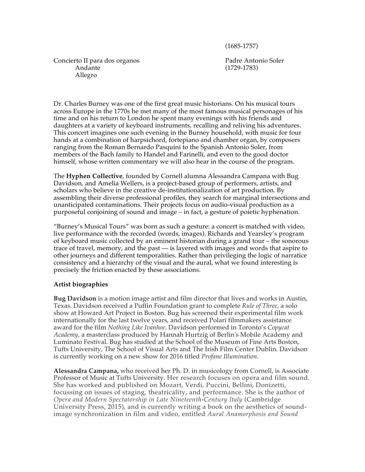(1685-1757)

Concierto II para dos organos Padre Antonio Soler Andante (1729-1783) Allegro

Dr. Charles Burney was one of the first great music historians. On his musical tours across Europe in the 1770s he met many of the most famous musical personages of his time and on his return to London he spent many evenings with his friends and daughters at a variety of keyboard instruments, recalling and reliving his adventures. This concert imagines one such evening in the Burney household, with music for four hands at a combination of harpsichord, fortepiano and chamber organ, by composers ranging from the Roman Bernardo Pasquini to the Spanish Antonio Soler, from members of the Bach family to Handel and Farinelli, and even to the good doctor himself, whose written commentary we will also hear in the course of the program.

The **Hyphen Collective**, founded by Cornell alumna Alessandra Campana with Bug Davidson, and Amelia Wellers, is a project-based group of performers, artists, and scholars who believe in the creative de-institutionalization of art production. By assembling their diverse professional profiles, they search for marginal intersections and unanticipated contaminations. Their projects focus on audio-visual production as a purposeful conjoining of sound and image – in fact, a gesture of poietic hyphenation.

"Burney's Musical Tours" was born as such a gesture: a concert is matched with video, live performance with the recorded (words, images). Richards and Yearsley's program of keyboard music collected by an eminent historian during a grand tour – the sonorous trace of travel, memory, and the past — is layered with images and words that aspire to other journeys and different temporalities. Rather than privileging the logic of narratice consistency and a hierarchy of the visual and the aural, what we found interesting is precisely the friction enacted by these associations.

# **Artist biographies**

**Bug Davidson** is a motion image artist and film director that lives and works in Austin, Texas. Davidson received a Puffin Foundation grant to complete *Rule of Three,* a solo show at Howard Art Project in Boston. Bug has screened their experimental film work internationally for the last twelve years, and received Polari filmmakers assistance award for the film *Nothing Like Ivanhoe*. Davidson performed in Toronto's *Copycat Academy*, a masterclass produced by Hannah Hurtzig of Berlin's Mobile Academy and Luminato Festival. Bug has studied at the School of the Museum of Fine Arts Boston, Tufts University, The School of Visual Arts and The Irish Film Center Dublin. Davidson is currently working on a new show for 2016 titled *Profane Illumination.*

**Alessandra Campana,** who received her Ph. D. in musicology from Cornell, is Associate Professor of Music at Tufts University. Her research focuses on opera and film sound. She has worked and published on Mozart, Verdi, Puccini, Bellini, Donizetti, focussing on issues of staging, theatricality, and performance. She is the author of *Opera and Modern Spectatorship in Late Nineteenth-Century Italy* (Cambridge University Press, 2015), and is currently writing a book on the aesthetics of soundimage synchronization in film and video, entitled *Aural Anamorphosis and Sound*